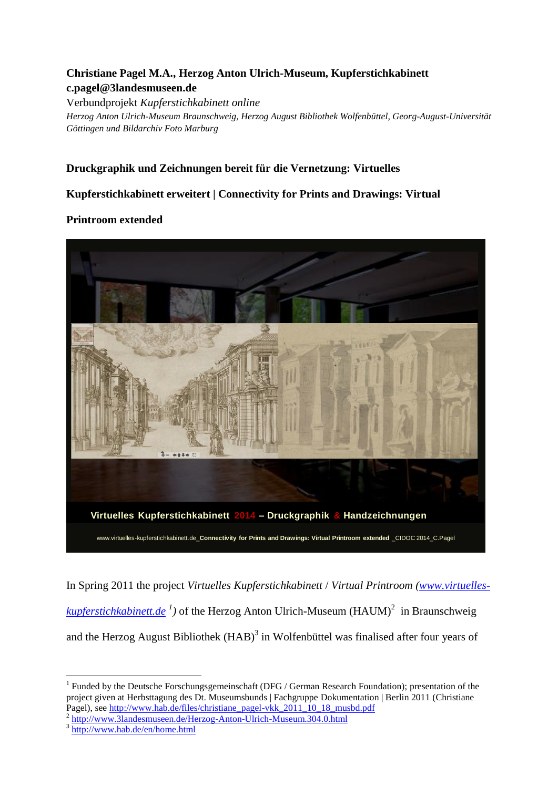## **Christiane Pagel M.A., Herzog Anton Ulrich-Museum, Kupferstichkabinett c.pagel@3landesmuseen.de**

Verbundprojekt *Kupferstichkabinett online Herzog Anton Ulrich-Museum Braunschweig, Herzog August Bibliothek Wolfenbüttel, Georg-August-Universität Göttingen und Bildarchiv Foto Marburg*

## **Druckgraphik und Zeichnungen bereit für die Vernetzung: Virtuelles**

## **Kupferstichkabinett erweitert | Connectivity for Prints and Drawings: Virtual**

## **Printroom extended**



In Spring 2011 the project *Virtuelles Kupferstichkabinett* / *Virtual Printroom [\(www.virtuelles](http://www.virtuelles-kupferstichkabinett.de/)[kupferstichkabinett.de](http://www.virtuelles-kupferstichkabinett.de/)*<sup>1</sup>) of the Herzog Anton Ulrich-Museum (HAUM)<sup>2</sup> in Braunschweig and the Herzog August Bibliothek  $(HAB)^3$  in Wolfenbüttel was finalised after four years of

<sup>2</sup> <http://www.3landesmuseen.de/Herzog-Anton-Ulrich-Museum.304.0.html>

1

 $1$  Funded by the Deutsche Forschungsgemeinschaft (DFG / German Research Foundation); presentation of the project given at Herbsttagung des Dt. Museumsbunds | Fachgruppe Dokumentation | Berlin 2011 (Christiane Pagel), se[e http://www.hab.de/files/christiane\\_pagel-vkk\\_2011\\_10\\_18\\_musbd.pdf](http://www.hab.de/files/christiane_pagel-vkk_2011_10_18_musbd.pdf)

<sup>3</sup> <http://www.hab.de/en/home.html>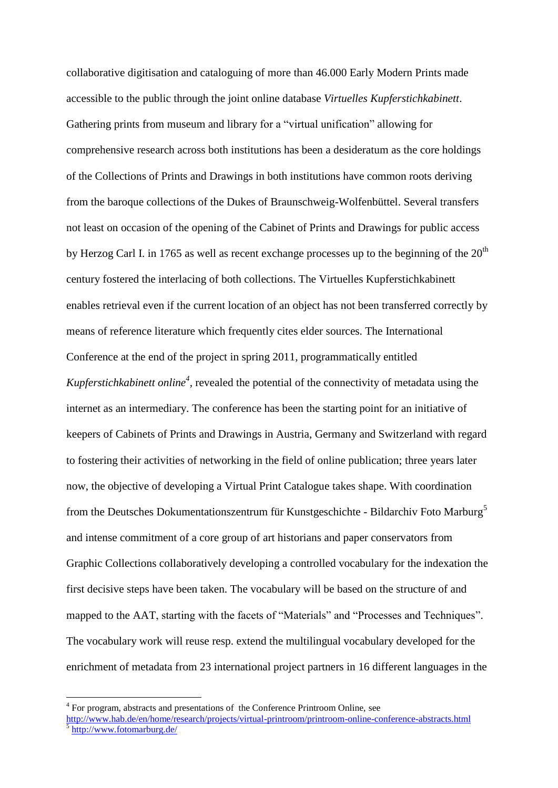collaborative digitisation and cataloguing of more than 46.000 Early Modern Prints made accessible to the public through the joint online database *Virtuelles Kupferstichkabinett*. Gathering prints from museum and library for a "virtual unification" allowing for comprehensive research across both institutions has been a desideratum as the core holdings of the Collections of Prints and Drawings in both institutions have common roots deriving from the baroque collections of the Dukes of Braunschweig-Wolfenbüttel. Several transfers not least on occasion of the opening of the Cabinet of Prints and Drawings for public access by Herzog Carl I. in 1765 as well as recent exchange processes up to the beginning of the  $20<sup>th</sup>$ century fostered the interlacing of both collections. The Virtuelles Kupferstichkabinett enables retrieval even if the current location of an object has not been transferred correctly by means of reference literature which frequently cites elder sources. The International Conference at the end of the project in spring 2011, programmatically entitled *Kupferstichkabinett online<sup>4</sup>*, revealed the potential of the connectivity of metadata using the internet as an intermediary. The conference has been the starting point for an initiative of keepers of Cabinets of Prints and Drawings in Austria, Germany and Switzerland with regard to fostering their activities of networking in the field of online publication; three years later now, the objective of developing a Virtual Print Catalogue takes shape. With coordination from the Deutsches Dokumentationszentrum für Kunstgeschichte - Bildarchiv Foto Marburg<sup>5</sup> and intense commitment of a core group of art historians and paper conservators from Graphic Collections collaboratively developing a controlled vocabulary for the indexation the first decisive steps have been taken. The vocabulary will be based on the structure of and mapped to the AAT, starting with the facets of "Materials" and "Processes and Techniques". The vocabulary work will reuse resp. extend the multilingual vocabulary developed for the enrichment of metadata from 23 international project partners in 16 different languages in the

<u>.</u>

<sup>&</sup>lt;sup>4</sup> For program, abstracts and presentations of the Conference Printroom Online, see

<http://www.hab.de/en/home/research/projects/virtual-printroom/printroom-online-conference-abstracts.html> <sup>5</sup> <http://www.fotomarburg.de/>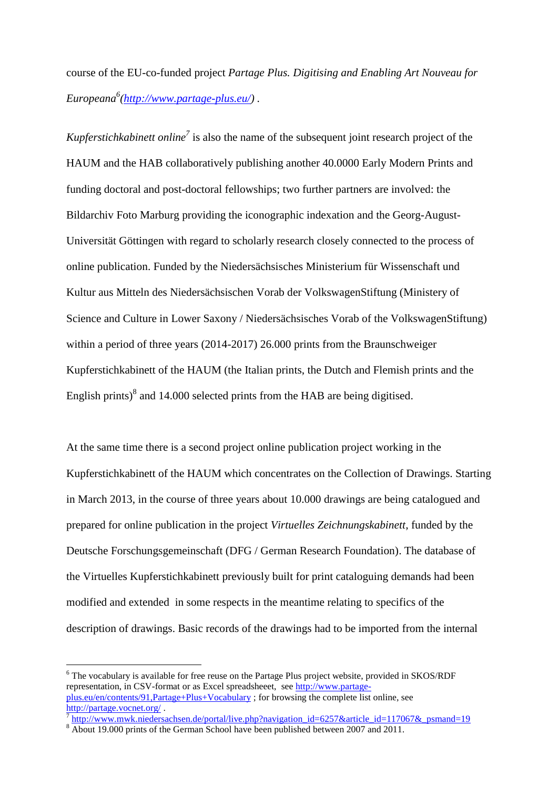course of the EU-co-funded project *Partage Plus. Digitising and Enabling Art Nouveau for Europeana 6 [\(http://www.partage-plus.eu/\)](http://www.partage-plus.eu/) .*

*Kupferstichkabinett online<sup>7</sup>* is also the name of the subsequent joint research project of the HAUM and the HAB collaboratively publishing another 40.0000 Early Modern Prints and funding doctoral and post-doctoral fellowships; two further partners are involved: the Bildarchiv Foto Marburg providing the iconographic indexation and the Georg-August-Universität Göttingen with regard to scholarly research closely connected to the process of online publication. Funded by the Niedersächsisches Ministerium für Wissenschaft und Kultur aus Mitteln des Niedersächsischen Vorab der VolkswagenStiftung (Ministery of Science and Culture in Lower Saxony / Niedersächsisches Vorab of the VolkswagenStiftung) within a period of three years (2014-2017) 26.000 prints from the Braunschweiger Kupferstichkabinett of the HAUM (the Italian prints, the Dutch and Flemish prints and the English prints) $\delta$  and 14.000 selected prints from the HAB are being digitised.

At the same time there is a second project online publication project working in the Kupferstichkabinett of the HAUM which concentrates on the Collection of Drawings. Starting in March 2013, in the course of three years about 10.000 drawings are being catalogued and prepared for online publication in the project *Virtuelles Zeichnungskabinett*, funded by the Deutsche Forschungsgemeinschaft (DFG / German Research Foundation). The database of the Virtuelles Kupferstichkabinett previously built for print cataloguing demands had been modified and extended in some respects in the meantime relating to specifics of the description of drawings. Basic records of the drawings had to be imported from the internal

<u>.</u>

<sup>6</sup> The vocabulary is available for free reuse on the Partage Plus project website, provided in SKOS/RDF representation, in CSV-format or as Excel spreadsheeet, see [http://www.partage](http://www.partage-plus.eu/en/contents/91,Partage+Plus+Vocabulary)[plus.eu/en/contents/91,Partage+Plus+Vocabulary](http://www.partage-plus.eu/en/contents/91,Partage+Plus+Vocabulary) ; for browsing the complete list online, see <http://partage.vocnet.org/> .

<sup>7</sup> [http://www.mwk.niedersachsen.de/portal/live.php?navigation\\_id=6257&article\\_id=117067&\\_psmand=19](http://www.mwk.niedersachsen.de/portal/live.php?navigation_id=6257&article_id=117067&_psmand=19)

<sup>&</sup>lt;sup>8</sup> About 19.000 prints of the German School have been published between 2007 and 2011.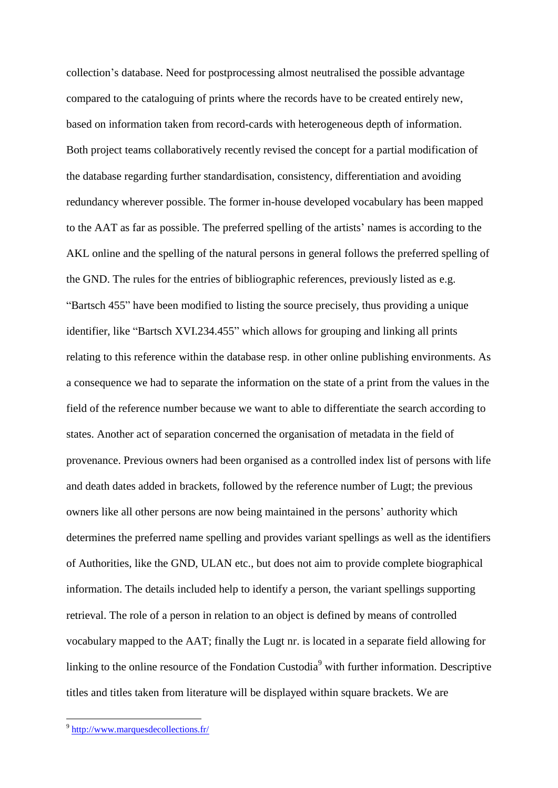collection's database. Need for postprocessing almost neutralised the possible advantage compared to the cataloguing of prints where the records have to be created entirely new, based on information taken from record-cards with heterogeneous depth of information. Both project teams collaboratively recently revised the concept for a partial modification of the database regarding further standardisation, consistency, differentiation and avoiding redundancy wherever possible. The former in-house developed vocabulary has been mapped to the AAT as far as possible. The preferred spelling of the artists' names is according to the AKL online and the spelling of the natural persons in general follows the preferred spelling of the GND. The rules for the entries of bibliographic references, previously listed as e.g. "Bartsch 455" have been modified to listing the source precisely, thus providing a unique identifier, like "Bartsch XVI.234.455" which allows for grouping and linking all prints relating to this reference within the database resp. in other online publishing environments. As a consequence we had to separate the information on the state of a print from the values in the field of the reference number because we want to able to differentiate the search according to states. Another act of separation concerned the organisation of metadata in the field of provenance. Previous owners had been organised as a controlled index list of persons with life and death dates added in brackets, followed by the reference number of Lugt; the previous owners like all other persons are now being maintained in the persons' authority which determines the preferred name spelling and provides variant spellings as well as the identifiers of Authorities, like the GND, ULAN etc., but does not aim to provide complete biographical information. The details included help to identify a person, the variant spellings supporting retrieval. The role of a person in relation to an object is defined by means of controlled vocabulary mapped to the AAT; finally the Lugt nr. is located in a separate field allowing for linking to the online resource of the Fondation Custodia<sup>9</sup> with further information. Descriptive titles and titles taken from literature will be displayed within square brackets. We are

1

<sup>&</sup>lt;sup>9</sup> <http://www.marquesdecollections.fr/>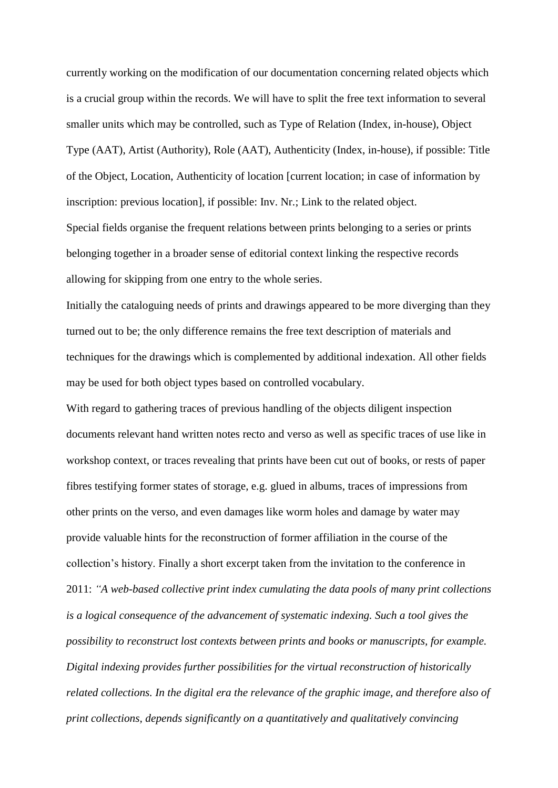currently working on the modification of our documentation concerning related objects which is a crucial group within the records. We will have to split the free text information to several smaller units which may be controlled, such as Type of Relation (Index, in-house), Object Type (AAT), Artist (Authority), Role (AAT), Authenticity (Index, in-house), if possible: Title of the Object, Location, Authenticity of location [current location; in case of information by inscription: previous location], if possible: Inv. Nr.; Link to the related object.

Special fields organise the frequent relations between prints belonging to a series or prints belonging together in a broader sense of editorial context linking the respective records allowing for skipping from one entry to the whole series.

Initially the cataloguing needs of prints and drawings appeared to be more diverging than they turned out to be; the only difference remains the free text description of materials and techniques for the drawings which is complemented by additional indexation. All other fields may be used for both object types based on controlled vocabulary.

With regard to gathering traces of previous handling of the objects diligent inspection documents relevant hand written notes recto and verso as well as specific traces of use like in workshop context, or traces revealing that prints have been cut out of books, or rests of paper fibres testifying former states of storage, e.g. glued in albums, traces of impressions from other prints on the verso, and even damages like worm holes and damage by water may provide valuable hints for the reconstruction of former affiliation in the course of the collection's history. Finally a short excerpt taken from the invitation to the conference in 2011: *"A web-based collective print index cumulating the data pools of many print collections is a logical consequence of the advancement of systematic indexing. Such a tool gives the possibility to reconstruct lost contexts between prints and books or manuscripts, for example. Digital indexing provides further possibilities for the virtual reconstruction of historically related collections. In the digital era the relevance of the graphic image, and therefore also of print collections, depends significantly on a quantitatively and qualitatively convincing*